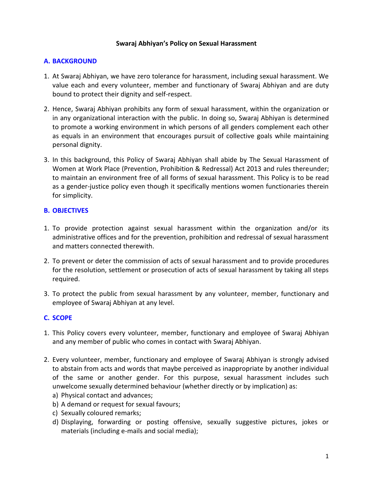### **Swaraj Abhiyan's Policy on Sexual Harassment**

### **A. BACKGROUND**

- 1. At Swaraj Abhiyan, we have zero tolerance for harassment, including sexual harassment. We value each and every volunteer, member and functionary of Swaraj Abhiyan and are duty bound to protect their dignity and self-respect.
- 2. Hence, Swaraj Abhiyan prohibits any form of sexual harassment, within the organization or in any organizational interaction with the public. In doing so, Swaraj Abhiyan is determined to promote a working environment in which persons of all genders complement each other as equals in an environment that encourages pursuit of collective goals while maintaining personal dignity.
- 3. In this background, this Policy of Swaraj Abhiyan shall abide by The Sexual Harassment of Women at Work Place (Prevention, Prohibition & Redressal) Act 2013 and rules thereunder; to maintain an environment free of all forms of sexual harassment. This Policy is to be read as a gender-justice policy even though it specifically mentions women functionaries therein for simplicity.

## **B. OBJECTIVES**

- 1. To provide protection against sexual harassment within the organization and/or its administrative offices and for the prevention, prohibition and redressal of sexual harassment and matters connected therewith.
- 2. To prevent or deter the commission of acts of sexual harassment and to provide procedures for the resolution, settlement or prosecution of acts of sexual harassment by taking all steps required.
- 3. To protect the public from sexual harassment by any volunteer, member, functionary and employee of Swaraj Abhiyan at any level.

# **C. SCOPE**

- 1. This Policy covers every volunteer, member, functionary and employee of Swaraj Abhiyan and any member of public who comes in contact with Swaraj Abhiyan.
- 2. Every volunteer, member, functionary and employee of Swaraj Abhiyan is strongly advised to abstain from acts and words that maybe perceived as inappropriate by another individual of the same or another gender. For this purpose, sexual harassment includes such unwelcome sexually determined behaviour (whether directly or by implication) as:
	- a) Physical contact and advances;
	- b) A demand or request for sexual favours;
	- c) Sexually coloured remarks;
	- d) Displaying, forwarding or posting offensive, sexually suggestive pictures, jokes or materials (including e-mails and social media);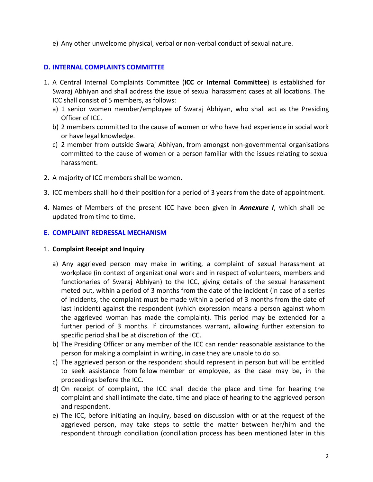e) Any other unwelcome physical, verbal or non-verbal conduct of sexual nature.

## **D. INTERNAL COMPLAINTS COMMITTEE**

- 1. A Central Internal Complaints Committee (**ICC** or **Internal Committee**) is established for Swaraj Abhiyan and shall address the issue of sexual harassment cases at all locations. The ICC shall consist of 5 members, as follows:
	- a) 1 senior women member/employee of Swaraj Abhiyan, who shall act as the Presiding Officer of ICC.
	- b) 2 members committed to the cause of women or who have had experience in social work or have legal knowledge.
	- c) 2 member from outside Swaraj Abhiyan, from amongst non-governmental organisations committed to the cause of women or a person familiar with the issues relating to sexual harassment.
- 2. A majority of ICC members shall be women.
- 3. ICC members shalll hold their position for a period of 3 years from the date of appointment.
- 4. Names of Members of the present ICC have been given in *Annexure I*, which shall be updated from time to time.

## **E. COMPLAINT REDRESSAL MECHANISM**

### 1. **Complaint Receipt and Inquiry**

- a) Any aggrieved person may make in writing, a complaint of sexual harassment at workplace (in context of organizational work and in respect of volunteers, members and functionaries of Swaraj Abhiyan) to the ICC, giving details of the sexual harassment meted out, within a period of 3 months from the date of the incident (in case of a series of incidents, the complaint must be made within a period of 3 months from the date of last incident) against the respondent (which expression means a person against whom the aggrieved woman has made the complaint). This period may be extended for a further period of 3 months. If circumstances warrant, allowing further extension to specific period shall be at discretion of the ICC.
- b) The Presiding Officer or any member of the ICC can render reasonable assistance to the person for making a complaint in writing, in case they are unable to do so.
- c) The aggrieved person or the respondent should represent in person but will be entitled to seek assistance from fellow member or employee, as the case may be, in the proceedings before the ICC.
- d) On receipt of complaint, the ICC shall decide the place and time for hearing the complaint and shall intimate the date, time and place of hearing to the aggrieved person and respondent.
- e) The ICC, before initiating an inquiry, based on discussion with or at the request of the aggrieved person, may take steps to settle the matter between her/him and the respondent through conciliation (conciliation process has been mentioned later in this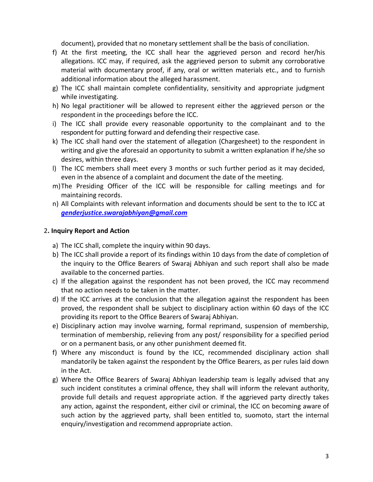document), provided that no monetary settlement shall be the basis of conciliation.

- f) At the first meeting, the ICC shall hear the aggrieved person and record her/his allegations. ICC may, if required, ask the aggrieved person to submit any corroborative material with documentary proof, if any, oral or written materials etc., and to furnish additional information about the alleged harassment.
- g) The ICC shall maintain complete confidentiality, sensitivity and appropriate judgment while investigating.
- h) No legal practitioner will be allowed to represent either the aggrieved person or the respondent in the proceedings before the ICC.
- i) The ICC shall provide every reasonable opportunity to the complainant and to the respondent for putting forward and defending their respective case.
- k) The ICC shall hand over the statement of allegation (Chargesheet) to the respondent in writing and give the aforesaid an opportunity to submit a written explanation if he/she so desires, within three days.
- l) The ICC members shall meet every 3 months or such further period as it may decided, even in the absence of a complaint and document the date of the meeting.
- m)The Presiding Officer of the ICC will be responsible for calling meetings and for maintaining records.
- n) All Complaints with relevant information and documents should be sent to the to ICC at *[genderjustice.swarajabhiyan@gmail.com](mailto:genderjustice.swarajabhiyan@gmail.com)*

## 2**. Inquiry Report and Action**

- a) The ICC shall, complete the inquiry within 90 days.
- b) The ICC shall provide a report of its findings within 10 days from the date of completion of the inquiry to the Office Bearers of Swaraj Abhiyan and such report shall also be made available to the concerned parties.
- c) If the allegation against the respondent has not been proved, the ICC may recommend that no action needs to be taken in the matter.
- d) If the ICC arrives at the conclusion that the allegation against the respondent has been proved, the respondent shall be subject to disciplinary action within 60 days of the ICC providing its report to the Office Bearers of Swaraj Abhiyan.
- e) Disciplinary action may involve warning, formal reprimand, suspension of membership, termination of membership, relieving from any post/ responsibility for a specified period or on a permanent basis, or any other punishment deemed fit.
- f) Where any misconduct is found by the ICC, recommended disciplinary action shall mandatorily be taken against the respondent by the Office Bearers, as per rules laid down in the Act.
- g) Where the Office Bearers of Swaraj Abhiyan leadership team is legally advised that any such incident constitutes a criminal offence, they shall will inform the relevant authority, provide full details and request appropriate action. If the aggrieved party directly takes any action, against the respondent, either civil or criminal, the ICC on becoming aware of such action by the aggrieved party, shall been entitled to, suomoto, start the internal enquiry/investigation and recommend appropriate action.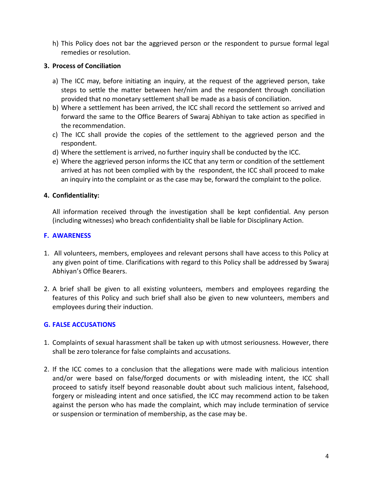h) This Policy does not bar the aggrieved person or the respondent to pursue formal legal remedies or resolution.

# **3. Process of Conciliation**

- a) The ICC may, before initiating an inquiry, at the request of the aggrieved person, take steps to settle the matter between her/nim and the respondent through conciliation provided that no monetary settlement shall be made as a basis of conciliation.
- b) Where a settlement has been arrived, the ICC shall record the settlement so arrived and forward the same to the Office Bearers of Swaraj Abhiyan to take action as specified in the recommendation.
- c) The ICC shall provide the copies of the settlement to the aggrieved person and the respondent.
- d) Where the settlement is arrived, no further inquiry shall be conducted by the ICC.
- e) Where the aggrieved person informs the ICC that any term or condition of the settlement arrived at has not been complied with by the respondent, the ICC shall proceed to make an inquiry into the complaint or as the case may be, forward the complaint to the police.

# **4. Confidentiality:**

All information received through the investigation shall be kept confidential. Any person (including witnesses) who breach confidentiality shall be liable for Disciplinary Action.

## **F. AWARENESS**

- 1. All volunteers, members, employees and relevant persons shall have access to this Policy at any given point of time. Clarifications with regard to this Policy shall be addressed by Swaraj Abhiyan's Office Bearers.
- 2. A brief shall be given to all existing volunteers, members and employees regarding the features of this Policy and such brief shall also be given to new volunteers, members and employees during their induction.

# **G. FALSE ACCUSATIONS**

- 1. Complaints of sexual harassment shall be taken up with utmost seriousness. However, there shall be zero tolerance for false complaints and accusations.
- 2. If the ICC comes to a conclusion that the allegations were made with malicious intention and/or were based on false/forged documents or with misleading intent, the ICC shall proceed to satisfy itself beyond reasonable doubt about such malicious intent, falsehood, forgery or misleading intent and once satisfied, the ICC may recommend action to be taken against the person who has made the complaint, which may include termination of service or suspension or termination of membership, as the case may be.